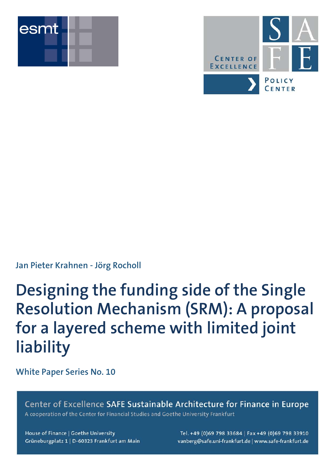



### **Jan Pieter Krahnen - Jörg Rocholl**

# **Designing the funding side of the Single Resolution Mechanism (SRM): A proposal for a layered scheme with limited joint liability**

**White Paper Series No. 10**

Center of Excellence SAFE Sustainable Architecture for Finance in Europe A cooperation of the Center for Financial Studies and Goethe University Frankfurt

House of Finance | Goethe University Grüneburgplatz 1 | D-60323 Frankfurt am Main

Tel. +49 (0)69 798 33684 | Fax +49 (0)69 798 33910 vanberg@safe.uni-frankfurt.de | www.safe-frankfurt.de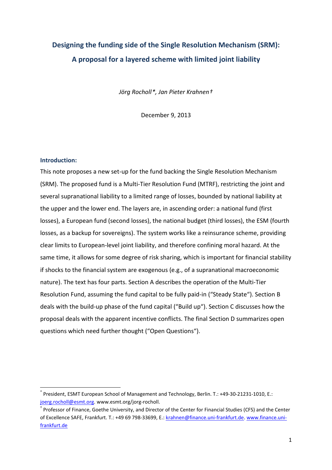## **Designing the funding side of the Single Resolution Mechanism (SRM): A proposal for a layered scheme with limited joint liability**

*Jörg Rocholl[\\*](#page-1-0), Jan Pieter Krahnen[†](#page-1-1)*

December 9, 2013

#### **Introduction:**

This note proposes a new set-up for the fund backing the Single Resolution Mechanism (SRM). The proposed fund is a Multi-Tier Resolution Fund (MTRF), restricting the joint and several supranational liability to a limited range of losses, bounded by national liability at the upper and the lower end. The layers are, in ascending order: a national fund (first losses), a European fund (second losses), the national budget (third losses), the ESM (fourth losses, as a backup for sovereigns). The system works like a reinsurance scheme, providing clear limits to European-level joint liability, and therefore confining moral hazard. At the same time, it allows for some degree of risk sharing, which is important for financial stability if shocks to the financial system are exogenous (e.g., of a supranational macroeconomic nature). The text has four parts. Section A describes the operation of the Multi-Tier Resolution Fund, assuming the fund capital to be fully paid-in ("Steady State"). Section B deals with the build-up phase of the fund capital ("Build up"). Section C discusses how the proposal deals with the apparent incentive conflicts. The final Section D summarizes open questions which need further thought ("Open Questions").

<span id="page-1-0"></span>President, ESMT European School of Management and Technology, Berlin. T.: +49-30-21231-1010, E.: [joerg.rocholl@esmt.org.](mailto:joerg.rocholl@esmt.org) www.esmt.org/jorg-rocholl.

<span id="page-1-1"></span><sup>†</sup> Professor of Finance, Goethe University, and Director of the Center for Financial Studies (CFS) and the Center of Excellence SAFE, Frankfurt. T.: +49 69 798-33699, E.: [krahnen@finance.uni-frankfurt.de.](mailto:krahnen@finance.uni-frankfurt.de) [www.finance.uni](http://www.finance.uni-frankfurt.de/)[frankfurt.de](http://www.finance.uni-frankfurt.de/)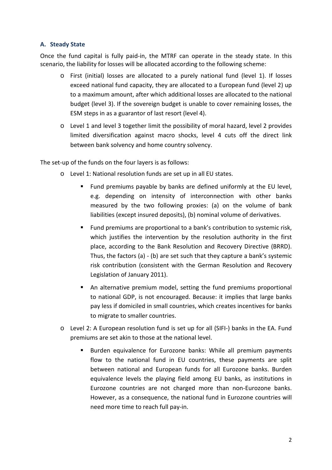#### **A. Steady State**

Once the fund capital is fully paid-in, the MTRF can operate in the steady state. In this scenario, the liability for losses will be allocated according to the following scheme:

- o First (initial) losses are allocated to a purely national fund (level 1). If losses exceed national fund capacity, they are allocated to a European fund (level 2) up to a maximum amount, after which additional losses are allocated to the national budget (level 3). If the sovereign budget is unable to cover remaining losses, the ESM steps in as a guarantor of last resort (level 4).
- o Level 1 and level 3 together limit the possibility of moral hazard, level 2 provides limited diversification against macro shocks, level 4 cuts off the direct link between bank solvency and home country solvency.

The set-up of the funds on the four layers is as follows:

- o Level 1: National resolution funds are set up in all EU states.
	- Fund premiums payable by banks are defined uniformly at the EU level, e.g. depending on intensity of interconnection with other banks measured by the two following proxies: (a) on the volume of bank liabilities (except insured deposits), (b) nominal volume of derivatives.
	- **Fund premiums are proportional to a bank's contribution to systemic risk,** which justifies the intervention by the resolution authority in the first place, according to the Bank Resolution and Recovery Directive (BRRD). Thus, the factors (a) - (b) are set such that they capture a bank's systemic risk contribution (consistent with the German Resolution and Recovery Legislation of January 2011).
	- An alternative premium model, setting the fund premiums proportional to national GDP, is not encouraged. Because: it implies that large banks pay less if domiciled in small countries, which creates incentives for banks to migrate to smaller countries.
- o Level 2: A European resolution fund is set up for all (SIFI-) banks in the EA. Fund premiums are set akin to those at the national level.
	- **Burden equivalence for Eurozone banks: While all premium payments** flow to the national fund in EU countries, these payments are split between national and European funds for all Eurozone banks. Burden equivalence levels the playing field among EU banks, as institutions in Eurozone countries are not charged more than non-Eurozone banks. However, as a consequence, the national fund in Eurozone countries will need more time to reach full pay-in.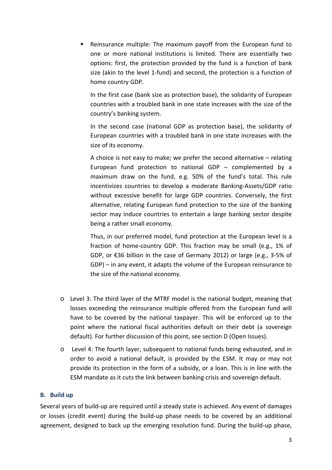Reinsurance multiple: The maximum payoff from the European fund to one or more national institutions is limited. There are essentially two options: first, the protection provided by the fund is a function of bank size (akin to the level 1-fund) and second, the protection is a function of home country GDP.

In the first case (bank size as protection base), the solidarity of European countries with a troubled bank in one state increases with the size of the country's banking system.

In the second case (national GDP as protection base), the solidarity of European countries with a troubled bank in one state increases with the size of its economy.

A choice is not easy to make; we prefer the second alternative – relating European fund protection to national GDP – complemented by a maximum draw on the fund, e.g. 50% of the fund's total. This rule incentivizes countries to develop a moderate Banking-Assets/GDP ratio without excessive benefit for large GDP countries. Conversely, the first alternative, relating European fund protection to the size of the banking sector may induce countries to entertain a large banking sector despite being a rather small economy.

Thus, in our preferred model, fund protection at the European level is a fraction of home-country GDP. This fraction may be small (e.g., 1% of GDP, or €36 billion in the case of Germany 2012) or large (e.g., 3-5% of GDP) – in any event, it adapts the volume of the European reinsurance to the size of the national economy.

- o Level 3: The third layer of the MTRF model is the national budget, meaning that losses exceeding the reinsurance multiple offered from the European fund will have to be covered by the national taxpayer. This will be enforced up to the point where the national fiscal authorities default on their debt (a sovereign default). For further discussion of this point, see section D (Open Issues).
- o Level 4: The fourth layer, subsequent to national funds being exhausted, and in order to avoid a national default, is provided by the ESM. It may or may not provide its protection in the form of a subsidy, or a loan. This is in line with the ESM mandate as it cuts the link between banking crisis and sovereign default.

#### **B. Build up**

Several years of build-up are required until a steady state is achieved. Any event of damages or losses (credit event) during the build-up phase needs to be covered by an additional agreement, designed to back up the emerging resolution fund. During the build-up phase,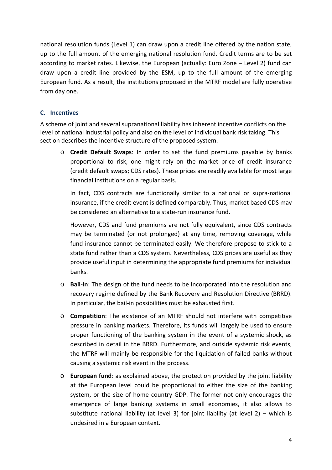national resolution funds (Level 1) can draw upon a credit line offered by the nation state, up to the full amount of the emerging national resolution fund. Credit terms are to be set according to market rates. Likewise, the European (actually: Euro Zone – Level 2) fund can draw upon a credit line provided by the ESM, up to the full amount of the emerging European fund. As a result, the institutions proposed in the MTRF model are fully operative from day one.

#### **C. Incentives**

A scheme of joint and several supranational liability has inherent incentive conflicts on the level of national industrial policy and also on the level of individual bank risk taking. This section describes the incentive structure of the proposed system.

o **Credit Default Swaps**: In order to set the fund premiums payable by banks proportional to risk, one might rely on the market price of credit insurance (credit default swaps; CDS rates). These prices are readily available for most large financial institutions on a regular basis.

In fact, CDS contracts are functionally similar to a national or supra-national insurance, if the credit event is defined comparably. Thus, market based CDS may be considered an alternative to a state-run insurance fund.

However, CDS and fund premiums are not fully equivalent, since CDS contracts may be terminated (or not prolonged) at any time, removing coverage, while fund insurance cannot be terminated easily. We therefore propose to stick to a state fund rather than a CDS system. Nevertheless, CDS prices are useful as they provide useful input in determining the appropriate fund premiums for individual banks.

- o **Bail-in**: The design of the fund needs to be incorporated into the resolution and recovery regime defined by the Bank Recovery and Resolution Directive (BRRD). In particular, the bail-in possibilities must be exhausted first.
- o **Competition**: The existence of an MTRF should not interfere with competitive pressure in banking markets. Therefore, its funds will largely be used to ensure proper functioning of the banking system in the event of a systemic shock, as described in detail in the BRRD. Furthermore, and outside systemic risk events, the MTRF will mainly be responsible for the liquidation of failed banks without causing a systemic risk event in the process.
- o **European fund**: as explained above, the protection provided by the joint liability at the European level could be proportional to either the size of the banking system, or the size of home country GDP. The former not only encourages the emergence of large banking systems in small economies, it also allows to substitute national liability (at level 3) for joint liability (at level  $2$ ) – which is undesired in a European context.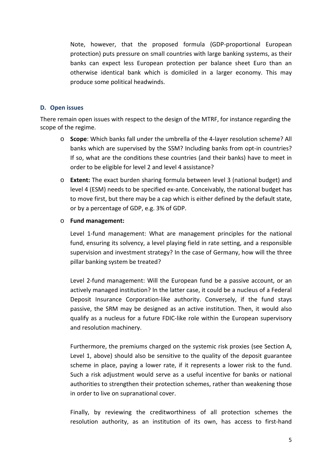Note, however, that the proposed formula (GDP-proportional European protection) puts pressure on small countries with large banking systems, as their banks can expect less European protection per balance sheet Euro than an otherwise identical bank which is domiciled in a larger economy. This may produce some political headwinds.

#### **D. Open issues**

There remain open issues with respect to the design of the MTRF, for instance regarding the scope of the regime.

- o **Scope**: Which banks fall under the umbrella of the 4-layer resolution scheme? All banks which are supervised by the SSM? Including banks from opt-in countries? If so, what are the conditions these countries (and their banks) have to meet in order to be eligible for level 2 and level 4 assistance?
- o **Extent:** The exact burden sharing formula between level 3 (national budget) and level 4 (ESM) needs to be specified ex-ante. Conceivably, the national budget has to move first, but there may be a cap which is either defined by the default state, or by a percentage of GDP, e.g. 3% of GDP.
- o **Fund management:**

Level 1-fund management: What are management principles for the national fund, ensuring its solvency, a level playing field in rate setting, and a responsible supervision and investment strategy? In the case of Germany, how will the three pillar banking system be treated?

Level 2-fund management: Will the European fund be a passive account, or an actively managed institution? In the latter case, it could be a nucleus of a Federal Deposit Insurance Corporation-like authority. Conversely, if the fund stays passive, the SRM may be designed as an active institution. Then, it would also qualify as a nucleus for a future FDIC-like role within the European supervisory and resolution machinery.

Furthermore, the premiums charged on the systemic risk proxies (see Section A, Level 1, above) should also be sensitive to the quality of the deposit guarantee scheme in place, paying a lower rate, if it represents a lower risk to the fund. Such a risk adjustment would serve as a useful incentive for banks or national authorities to strengthen their protection schemes, rather than weakening those in order to live on supranational cover.

Finally, by reviewing the creditworthiness of all protection schemes the resolution authority, as an institution of its own, has access to first-hand